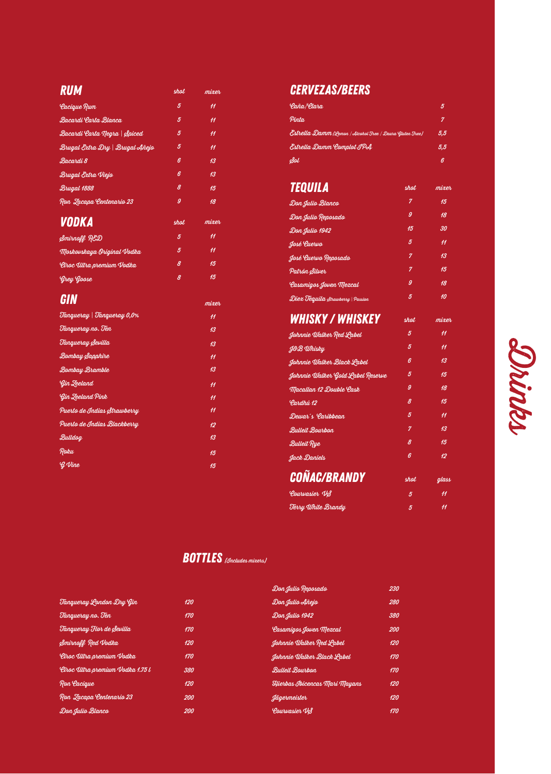| <b>RUM</b>                      | shot           | mixer           |
|---------------------------------|----------------|-----------------|
| <i><b>Cacique Rum</b></i>       | 5              | $\overline{11}$ |
| Bacardi Carta Blanca            | 5              | $\overline{11}$ |
| Bacardi Carta Negra   Spiced    | 5              | $\overline{11}$ |
| Brugal Extra Dry   Brugal Añejo | 5              | $\overline{11}$ |
| Bacardi 8                       | 6              | 13              |
| Brugal Extra Viejo              | 6              | 13              |
| Brugal 1888                     | 8              | 15              |
| Ron Jacapa Centenario 23        | 9              | 18              |
| <b>VODKA</b>                    | shot           | mixer           |
| Smirnoff RED                    | $\overline{5}$ | $\overline{11}$ |
| Moskovskaya Original Vodka      | 5              | $\overline{11}$ |
| Cîroc Ultra premium Vodka       | 8              | 15              |
| Grey Goose                      | 8              | 15              |
| GIN                             |                | mixer           |
| Tangueray   Tangueray 0,0%      |                | $\overline{11}$ |
| Tangueray no. Ten               |                | 13              |
| Tangueray Sevilla               |                | 4 <sub>3</sub>  |
| Bombay Sapphire                 |                | 11              |
| <b>Bombay Bramble</b>           |                | 13              |
| Gin Zeeland                     |                | $\overline{11}$ |
| <b>Gin Zeeland Pink</b>         |                | $\overline{11}$ |
| Puerto de Indias Strawberry     |                | 11              |
| Puerto de Indias Blackberry     |                | 12              |
| Bulldog                         |                | 13              |
| Roku                            |                | 15              |
| $Q$ Vine                        |                | 15              |
|                                 |                |                 |

## *CERVEZAS/beers*

| 'Caña/'Clara                                             |                | 5               |
|----------------------------------------------------------|----------------|-----------------|
| Pinta.                                                   |                | 7               |
| Estrella Damm (Lemon / Alcohol Tree / Daura Gluten Tree) |                | 5,5             |
| Estrella Damm Complot IPA                                |                | 5,5             |
| Sol                                                      |                | 6               |
| TEQUILA                                                  | <b>shot</b>    | mixer           |
| Don Julio Blanco                                         | 7              | 45              |
| Don Julio Reposado                                       | 9              | 18              |
| Don Julio 1942                                           | 45             | 30              |
| José Quervo                                              | 5              | $\overline{11}$ |
| José Quervo Reposado                                     | $\overline{7}$ | 13              |
| Patrón Silver                                            | $\overline{7}$ | 45              |
| <b>Lasamigos Joven Mezcal</b>                            | 9              | 18              |
| Diex Tequila Strawberry   Passion                        | 5              | 10              |
| <b>WHISKY / WHISKEY</b>                                  | shot           | mixer           |
| Johnnie Walker Red Label                                 | 5              | $\overline{11}$ |
| <b>J&amp;B</b> Whisky                                    | 5              | $\overline{11}$ |
| Johnnie Walker Black Label                               | ß              | 13              |
| Johnnie Walker Gold Label Reserve                        | 5              | 15              |
| Macallan 12 Double Cask                                  | $\overline{g}$ | 18              |
| Pardhú 12                                                | 8              | 15              |
| Dewar's Caribbean                                        | 5              | $\overline{11}$ |
| <b>Bulleit Bourbon</b>                                   | 7              | 13              |
| <b>Bulleit Rue</b>                                       | 8              | 15              |
| Jack Daniels                                             | 6              | 12 <sup>2</sup> |
| <b>COÑAC/BRANDY</b>                                      | shot           | glass           |
| Courvasier VS                                            | 5              | $\overline{11}$ |
| Terry White Brandy                                       | 5              | 11              |
|                                                          |                |                 |

### **BOTTLES** (*Includes mixers*)

|                                   |     | Don Julio Reposado            | 230 |
|-----------------------------------|-----|-------------------------------|-----|
| Tangueray London Dry Gin          | 120 | Don Julio Añejo               | 280 |
| Tangueray no. Ten                 | 170 | Don Julio 1942                | 380 |
| Tangueray Flor de Sevilla         | 170 | <i>Casamigos Joven Mezcal</i> | 200 |
| Smirnoff Red Vodka                | 120 | Johnnie Walker Red Label      | 120 |
| Cîroc Ultra premium Vodka         | 170 | Johnnie Walker Black Label    | 170 |
| Cîroc Illtra premium Vodka 1.75 l | 380 | <b>Bulleit Bourbon</b>        | 170 |
| Ron Cacique                       | 120 | Hierbas Ibicencas Mari Mayans | 120 |
| Ron Zacapa Centenario 23          | 200 | dägermeister                  | 120 |
| Don Julio Blanco                  | 200 | Courvasier VS                 | 170 |

# **Sohintes**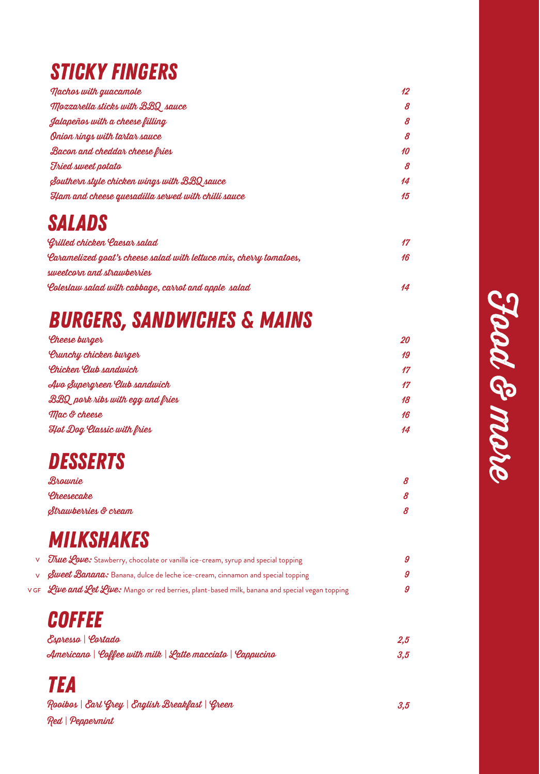# *Sticky fingers*

| <b>Nachos with guacamole</b>                       | 12              |
|----------------------------------------------------|-----------------|
| Mozzarella sticks with BBQ sauce                   | 8               |
| Jalapeños with a cheese filling                    | 8               |
| Onion rings with tartar sauce                      | 8               |
| Bacon and cheddar cheese fries                     | 10              |
| <b>Fried sweet potato</b>                          | 8               |
| Southern style chicken wings with BBQ sauce        | $\overline{14}$ |
| Ham and cheese quesadilla served with chilli sauce | 15              |

## *SALADS*

| Grilled chicken Caesar salad                                        | 17 |
|---------------------------------------------------------------------|----|
| 'Caramelized goat's cheese salad with lettuce mix, cherry tomatoes, | 16 |
| sweetcorn and strawberries                                          |    |
| 'Coleslaw salad with cabbage, carrot and apple salad                | 14 |

# *BURGERS, SANDWICHES & MAINS*

| Cheese burger                        | 20 |
|--------------------------------------|----|
| <b><i>Orunchy chicken burger</i></b> | 19 |
| <b>Chicken Club sandwich</b>         | 17 |
| Avo Supergreen Elub sandwich         | 17 |
| BBQ pork ribs with egg and fries     | 18 |
| Mac & cheese                         | 16 |
| <b>Hot Dog Classic with fries</b>    | 14 |

# *DESSERTS*

| Brownie              | 8 |
|----------------------|---|
| Cheesecake           | 8 |
| Strawberries & cream | 8 |

# *MILKSHAKES*

| V <i>True Love:</i> Stawberry, chocolate or vanilla ice-cream, syrup and special topping        | 9 |
|-------------------------------------------------------------------------------------------------|---|
| <i>Sweet Banana:</i> Banana, dulce de leche ice-cream, cinnamon and special topping             | 9 |
| VGF Live and Let Live: Mango or red berries, plant-based milk, banana and special vegan topping | 9 |

## *coffee*

| Espresso   Cortado                                        | $2.5\,$ |
|-----------------------------------------------------------|---------|
| Americano   Coffee with milk   Latte macciato   Cappucino | 3.5     |

## *tea*

| Rooibos   Earl Grey   English Breakfast   Green | 3.5 |
|-------------------------------------------------|-----|
| Red   Peppermint                                |     |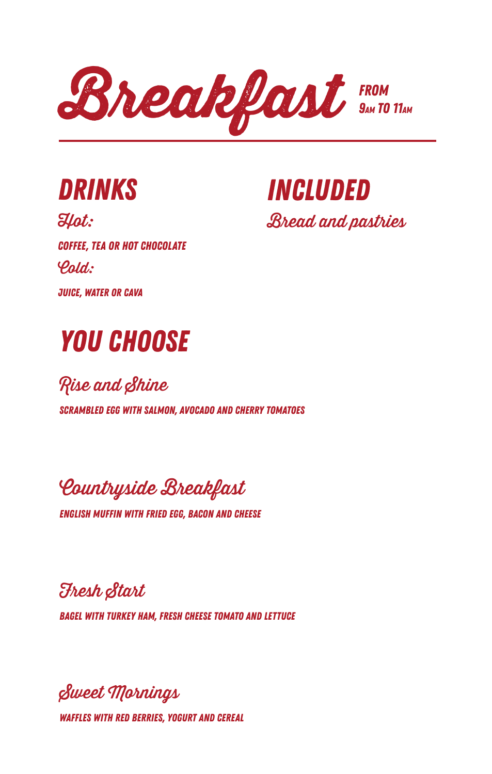

*drinks*

Hot: *coffee, tea or hot chocolate*  $\varphi_{\text{a}}$ *juice, water or CAVA*

*INCLUDED* **Bread and pastries** 

*YOU CHOOSE*

Rise and Shine

*SCRAMBLED EGG WITH SALMON, AVOCADO AND CHERRY TOMATOES* 

**Countryside Breakfast** 

*english muffin with fried egg, bacon and cheese*

esh Start

*bagel with turkey ham, fresh cheese tomato and lettuce*

Sweet Mornings

*Waffles with red berries, yogurt and cereal*